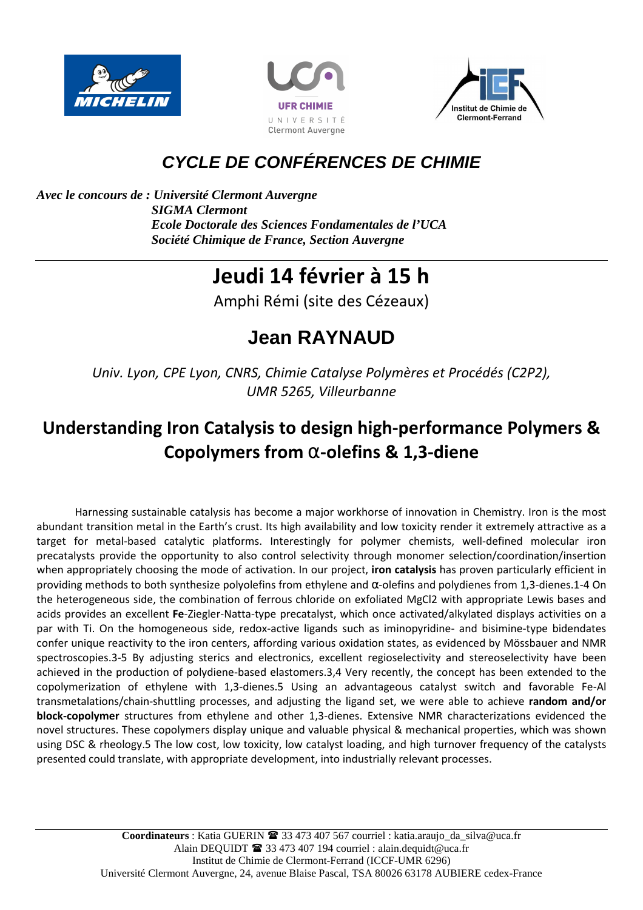





## **CYCLE DE CONFÉRENCES DE CHIMIE**

*Avec le concours de : Université Clermont Auvergne SIGMA Clermont Ecole Doctorale des Sciences Fondamentales de l'UCA Société Chimique de France, Section Auvergne* 

# **Jeudi 14 février à 15 h**

Amphi Rémi (site des Cézeaux)

# **Jean RAYNAUD**

*Univ. Lyon, CPE Lyon, CNRS, Chimie Catalyse Polymères et Procédés (C2P2), UMR 5265, Villeurbanne*

## **Understanding Iron Catalysis to design high-performance Polymers & Copolymers from** α**-olefins & 1,3-diene**

 Harnessing sustainable catalysis has become a major workhorse of innovation in Chemistry. Iron is the most abundant transition metal in the Earth's crust. Its high availability and low toxicity render it extremely attractive as a target for metal-based catalytic platforms. Interestingly for polymer chemists, well-defined molecular iron precatalysts provide the opportunity to also control selectivity through monomer selection/coordination/insertion when appropriately choosing the mode of activation. In our project, **iron catalysis** has proven particularly efficient in providing methods to both synthesize polyolefins from ethylene and α-olefins and polydienes from 1,3-dienes.1-4 On the heterogeneous side, the combination of ferrous chloride on exfoliated MgCl2 with appropriate Lewis bases and acids provides an excellent **Fe**-Ziegler-Natta-type precatalyst, which once activated/alkylated displays activities on a par with Ti. On the homogeneous side, redox-active ligands such as iminopyridine- and bisimine-type bidendates confer unique reactivity to the iron centers, affording various oxidation states, as evidenced by Mössbauer and NMR spectroscopies.3-5 By adjusting sterics and electronics, excellent regioselectivity and stereoselectivity have been achieved in the production of polydiene-based elastomers.3,4 Very recently, the concept has been extended to the copolymerization of ethylene with 1,3-dienes.5 Using an advantageous catalyst switch and favorable Fe-Al transmetalations/chain-shuttling processes, and adjusting the ligand set, we were able to achieve **random and/or block-copolymer** structures from ethylene and other 1,3-dienes. Extensive NMR characterizations evidenced the novel structures. These copolymers display unique and valuable physical & mechanical properties, which was shown using DSC & rheology.5 The low cost, low toxicity, low catalyst loading, and high turnover frequency of the catalysts presented could translate, with appropriate development, into industrially relevant processes.